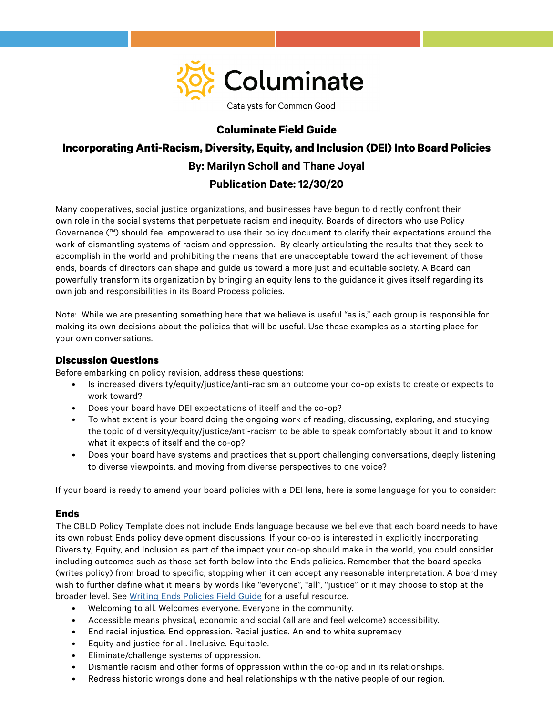

Catalysts for Common Good

## **Columinate Field Guide**

# **Incorporating Anti-Racism, Diversity, Equity, and Inclusion (DEI) Into Board Policies By: Marilyn Scholl and Thane Joyal Publication Date: 12/30/20**

Many cooperatives, social justice organizations, and businesses have begun to directly confront their own role in the social systems that perpetuate racism and inequity. Boards of directors who use Policy Governance (™) should feel empowered to use their policy document to clarify their expectations around the work of dismantling systems of racism and oppression. By clearly articulating the results that they seek to accomplish in the world and prohibiting the means that are unacceptable toward the achievement of those ends, boards of directors can shape and guide us toward a more just and equitable society. A Board can powerfully transform its organization by bringing an equity lens to the guidance it gives itself regarding its own job and responsibilities in its Board Process policies.

Note: While we are presenting something here that we believe is useful "as is," each group is responsible for making its own decisions about the policies that will be useful. Use these examples as a starting place for your own conversations.

## **Discussion Questions**

Before embarking on policy revision, address these questions:

- Is increased diversity/equity/justice/anti-racism an outcome your co-op exists to create or expects to work toward?
- Does your board have DEI expectations of itself and the co-op?
- To what extent is your board doing the ongoing work of reading, discussing, exploring, and studying the topic of diversity/equity/justice/anti-racism to be able to speak comfortably about it and to know what it expects of itself and the co-op?
- Does your board have systems and practices that support challenging conversations, deeply listening to diverse viewpoints, and moving from diverse perspectives to one voice?

If your board is ready to amend your board policies with a DEI lens, here is some language for you to consider:

## **Ends**

The CBLD Policy Template does not include Ends language because we believe that each board needs to have its own robust Ends policy development discussions. If your co-op is interested in explicitly incorporating Diversity, Equity, and Inclusion as part of the impact your co-op should make in the world, you could consider including outcomes such as those set forth below into the Ends policies. Remember that the board speaks (writes policy) from broad to specific, stopping when it can accept any reasonable interpretation. A board may wish to further define what it means by words like "everyone", "all", "justice" or it may choose to stop at the broader level. See [Writing Ends Policies Field Guide](https://columinate.coop/writing-ends-policies/) for a useful resource.

- Welcoming to all. Welcomes everyone. Everyone in the community.
- Accessible means physical, economic and social (all are and feel welcome) accessibility.
- End racial injustice. End oppression. Racial justice. An end to white supremacy
- Equity and justice for all. Inclusive. Equitable.
- Eliminate/challenge systems of oppression.
- Dismantle racism and other forms of oppression within the co-op and in its relationships.
- Redress historic wrongs done and heal relationships with the native people of our region.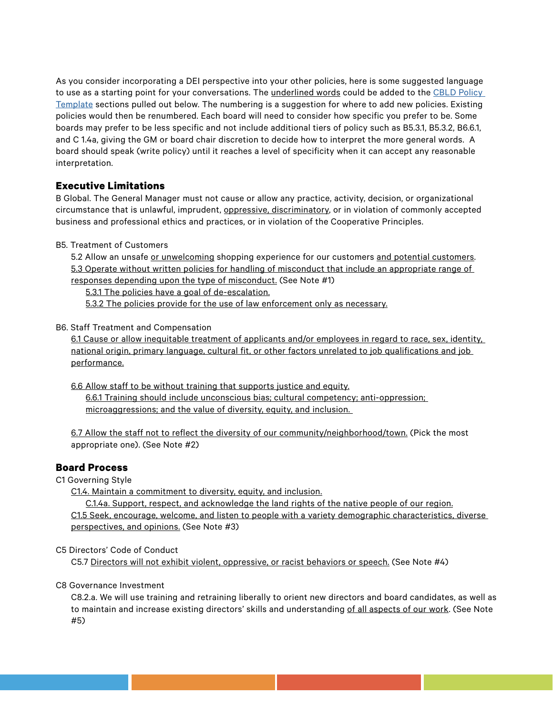As you consider incorporating a DEI perspective into your other policies, here is some suggested language to use as a starting point for your conversations. The underlined words could be added to the [CBLD Policy](https://columinate.coop/cbld-policy-template/)  [Template](https://columinate.coop/cbld-policy-template/) sections pulled out below. The numbering is a suggestion for where to add new policies. Existing policies would then be renumbered. Each board will need to consider how specific you prefer to be. Some boards may prefer to be less specific and not include additional tiers of policy such as B5.3.1, B5.3.2, B6.6.1, and C 1.4a, giving the GM or board chair discretion to decide how to interpret the more general words. A board should speak (write policy) until it reaches a level of specificity when it can accept any reasonable interpretation.

# **Executive Limitations**

B Global. The General Manager must not cause or allow any practice, activity, decision, or organizational circumstance that is unlawful, imprudent, oppressive, discriminatory, or in violation of commonly accepted business and professional ethics and practices, or in violation of the Cooperative Principles.

B5. Treatment of Customers

5.2 Allow an unsafe or unwelcoming shopping experience for our customers and potential customers. 5.3 Operate without written policies for handling of misconduct that include an appropriate range of responses depending upon the type of misconduct. (See Note #1)

5.3.1 The policies have a goal of de-escalation.

5.3.2 The policies provide for the use of law enforcement only as necessary.

#### B6. Staff Treatment and Compensation

6.1 Cause or allow inequitable treatment of applicants and/or employees in regard to race, sex, identity, national origin, primary language, cultural fit, or other factors unrelated to job qualifications and job performance.

6.6 Allow staff to be without training that supports justice and equity. 6.6.1 Training should include unconscious bias; cultural competency; anti-oppression; microaggressions; and the value of diversity, equity, and inclusion.

6.7 Allow the staff not to reflect the diversity of our community/neighborhood/town. (Pick the most appropriate one). (See Note #2)

## **Board Process**

C1 Governing Style

C1.4. Maintain a commitment to diversity, equity, and inclusion.

C.1.4a. Support, respect, and acknowledge the land rights of the native people of our region. C1.5 Seek, encourage, welcome, and listen to people with a variety demographic characteristics, diverse perspectives, and opinions. (See Note #3)

#### C5 Directors' Code of Conduct

C5.7 Directors will not exhibit violent, oppressive, or racist behaviors or speech. (See Note #4)

#### C8 Governance Investment

C8.2.a. We will use training and retraining liberally to orient new directors and board candidates, as well as to maintain and increase existing directors' skills and understanding of all aspects of our work. (See Note #5)